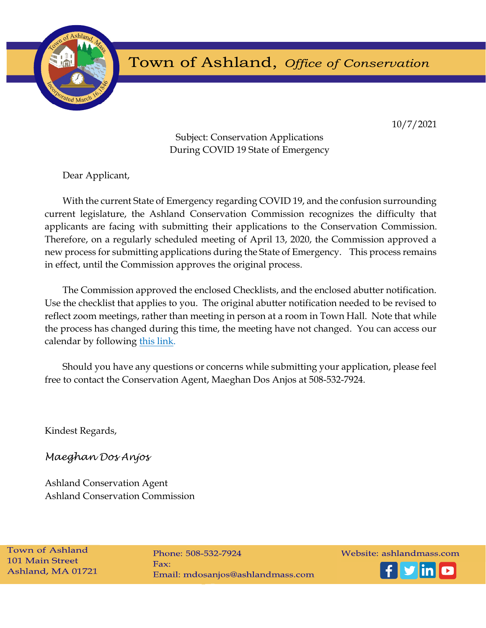

# Town of Ashland, Office of Conservation

10/7/2021

Subject: Conservation Applications During COVID 19 State of Emergency

Dear Applicant,

With the current State of Emergency regarding COVID 19, and the confusion surrounding current legislature, the Ashland Conservation Commission recognizes the difficulty that applicants are facing with submitting their applications to the Conservation Commission. Therefore, on a regularly scheduled meeting of April 13, 2020, the Commission approved a new process for submitting applications during the State of Emergency. This process remains in effect, until the Commission approves the original process.

The Commission approved the enclosed Checklists, and the enclosed abutter notification. Use the checklist that applies to you. The original abutter notification needed to be revised to reflect zoom meetings, rather than meeting in person at a room in Town Hall. Note that while the process has changed during this time, the meeting have not changed. You can access our calendar by following this link.

Should you have any questions or concerns while submitting your application, please feel free to contact the Conservation Agent, Maeghan Dos Anjos at 508-532-7924.

Kindest Regards,

Maeghan Dos Anjos

Ashland Conservation Agent Ashland Conservation Commission

**Town of Ashland 101 Main Street** Ashland, MA 01721

Phone: 508-532-7924  $Fax:$ Email: mdosanjos@ashlandmass.com Website: ashlandmass.com

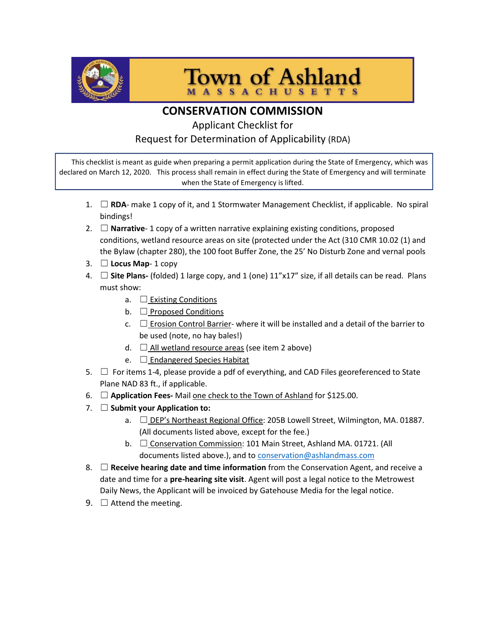

**Town of Ashland MASSACHUSETTS** 

## CONSERVATION COMMISSION

### Applicant Checklist for Request for Determination of Applicability (RDA)

This checklist is meant as guide when preparing a permit application during the State of Emergency, which was declared on March 12, 2020. This process shall remain in effect during the State of Emergency and will terminate when the State of Emergency is lifted.

- 1.  $\Box$  RDA- make 1 copy of it, and 1 Stormwater Management Checklist, if applicable. No spiral bindings!
- 2.  $\Box$  **Narrative** 1 copy of a written narrative explaining existing conditions, proposed conditions, wetland resource areas on site (protected under the Act (310 CMR 10.02 (1) and the Bylaw (chapter 280), the 100 foot Buffer Zone, the 25' No Disturb Zone and vernal pools
- 3.  $\Box$  Locus Map- 1 copy
- 4.  $\Box$  Site Plans- (folded) 1 large copy, and 1 (one)  $11''x17''$  size, if all details can be read. Plans must show:
	- a.  $\Box$  Existing Conditions
	- b.  $\Box$  Proposed Conditions
	- c.  $\Box$  Erosion Control Barrier- where it will be installed and a detail of the barrier to be used (note, no hay bales!)
	- d.  $\Box$  All wetland resource areas (see item 2 above)
	- e.  $\Box$  Endangered Species Habitat
- 5.  $\Box$  For items 1-4, please provide a pdf of everything, and CAD Files georeferenced to State Plane NAD 83 ft., if applicable.
- 6.  $\Box$  Application Fees-Mail one check to the Town of Ashland for \$125.00.
- 7.  $\Box$  Submit your Application to:
	- a. ☐ DEP's Northeast Regional Office: 205B Lowell Street, Wilmington, MA. 01887. (All documents listed above, except for the fee.)
	- b. □ Conservation Commission: 101 Main Street, Ashland MA. 01721. (All documents listed above.), and to conservation@ashlandmass.com
- 8.  $\Box$  Receive hearing date and time information from the Conservation Agent, and receive a date and time for a pre-hearing site visit. Agent will post a legal notice to the Metrowest Daily News, the Applicant will be invoiced by Gatehouse Media for the legal notice.
- 9.  $\Box$  Attend the meeting.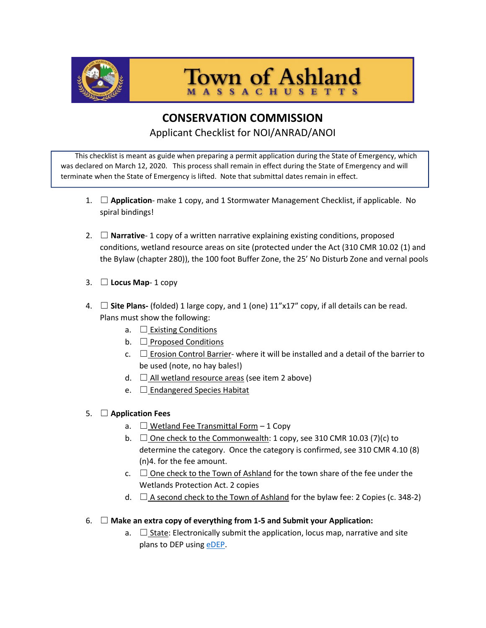

**Town of Ashland** 

## CONSERVATION COMMISSION Applicant Checklist for NOI/ANRAD/ANOI

This checklist is meant as guide when preparing a permit application during the State of Emergency, which was declared on March 12, 2020. This process shall remain in effect during the State of Emergency and will terminate when the State of Emergency is lifted. Note that submittal dates remain in effect.

- 1.  $\Box$  Application- make 1 copy, and 1 Stormwater Management Checklist, if applicable. No spiral bindings!
- 2.  $\Box$  **Narrative** 1 copy of a written narrative explaining existing conditions, proposed conditions, wetland resource areas on site (protected under the Act (310 CMR 10.02 (1) and the Bylaw (chapter 280)), the 100 foot Buffer Zone, the 25' No Disturb Zone and vernal pools
- 3.  $\Box$  Locus Map- 1 copy
- 4.  $\Box$  Site Plans- (folded) 1 large copy, and 1 (one) 11"x17" copy, if all details can be read. Plans must show the following:
	- a.  $\Box$  Existing Conditions
	- b.  $\Box$  Proposed Conditions
	- c.  $\Box$  Erosion Control Barrier- where it will be installed and a detail of the barrier to be used (note, no hay bales!)
	- d.  $\Box$  All wetland resource areas (see item 2 above)
	- e.  $\Box$  Endangered Species Habitat

#### 5.  $\Box$  Application Fees

- a.  $\Box$  Wetland Fee Transmittal Form 1 Copy
- b.  $\Box$  One check to the Commonwealth: 1 copy, see 310 CMR 10.03 (7)(c) to determine the category. Once the category is confirmed, see 310 CMR 4.10 (8) (n)4. for the fee amount.
- c.  $\Box$  One check to the Town of Ashland for the town share of the fee under the Wetlands Protection Act. 2 copies
- d.  $\Box$  A second check to the Town of Ashland for the bylaw fee: 2 Copies (c. 348-2)
- 6.  $\Box$  Make an extra copy of everything from 1-5 and Submit your Application:
	- a.  $\Box$  State: Electronically submit the application, locus map, narrative and site plans to DEP using **eDEP**.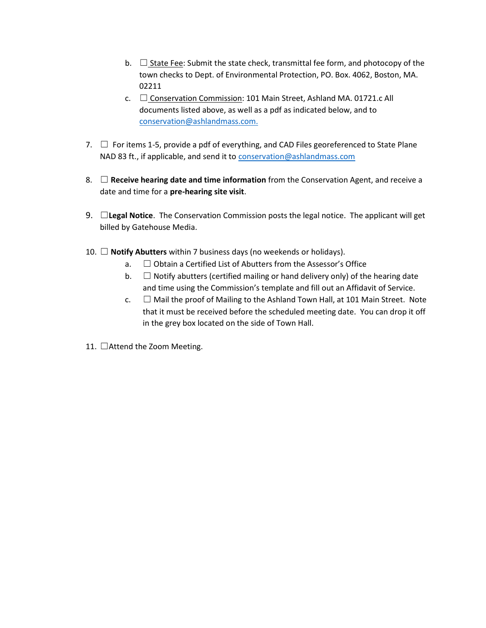- b.  $\Box$  State Fee: Submit the state check, transmittal fee form, and photocopy of the town checks to Dept. of Environmental Protection, PO. Box. 4062, Boston, MA. 02211
- c. ☐ Conservation Commission: 101 Main Street, Ashland MA. 01721.c All documents listed above, as well as a pdf as indicated below, and to conservation@ashlandmass.com.
- 7.  $\Box$  For items 1-5, provide a pdf of everything, and CAD Files georeferenced to State Plane NAD 83 ft., if applicable, and send it to conservation@ashlandmass.com
- 8.  $\Box$  Receive hearing date and time information from the Conservation Agent, and receive a date and time for a pre-hearing site visit.
- 9.  $\Box$  Legal Notice. The Conservation Commission posts the legal notice. The applicant will get billed by Gatehouse Media.
- 10.  $\Box$  Notify Abutters within 7 business days (no weekends or holidays).
	- $a.$   $\Box$  Obtain a Certified List of Abutters from the Assessor's Office
	- b.  $\Box$  Notify abutters (certified mailing or hand delivery only) of the hearing date and time using the Commission's template and fill out an Affidavit of Service.
	- c.  $\Box$  Mail the proof of Mailing to the Ashland Town Hall, at 101 Main Street. Note that it must be received before the scheduled meeting date. You can drop it off in the grey box located on the side of Town Hall.
- 11. □Attend the Zoom Meeting.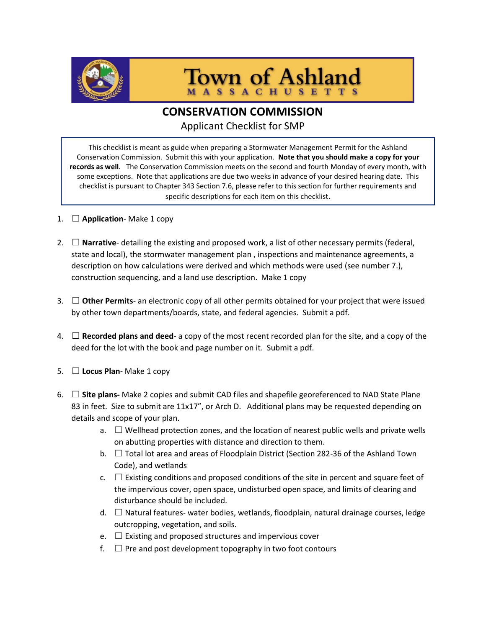

**Town of Ashland** 

## CONSERVATION COMMISSION

Applicant Checklist for SMP

This checklist is meant as guide when preparing a Stormwater Management Permit for the Ashland Conservation Commission. Submit this with your application. Note that you should make a copy for your records as well. The Conservation Commission meets on the second and fourth Monday of every month, with some exceptions. Note that applications are due two weeks in advance of your desired hearing date. This checklist is pursuant to Chapter 343 Section 7.6, please refer to this section for further requirements and specific descriptions for each item on this checklist.

- 1.  $\Box$  Application-Make 1 copy
- 2.  $\Box$  **Narrative** detailing the existing and proposed work, a list of other necessary permits (federal, state and local), the stormwater management plan , inspections and maintenance agreements, a description on how calculations were derived and which methods were used (see number 7.), construction sequencing, and a land use description. Make 1 copy
- 3.  $\Box$  Other Permits- an electronic copy of all other permits obtained for your project that were issued by other town departments/boards, state, and federal agencies. Submit a pdf.
- 4.  $\Box$  Recorded plans and deed- a copy of the most recent recorded plan for the site, and a copy of the deed for the lot with the book and page number on it. Submit a pdf.
- 5.  $\Box$  Locus Plan-Make 1 copy
- 6.  $\Box$  Site plans- Make 2 copies and submit CAD files and shapefile georeferenced to NAD State Plane 83 in feet. Size to submit are 11x17", or Arch D. Additional plans may be requested depending on details and scope of your plan.
	- a.  $\Box$  Wellhead protection zones, and the location of nearest public wells and private wells on abutting properties with distance and direction to them.
	- b.  $\Box$  Total lot area and areas of Floodplain District (Section 282-36 of the Ashland Town Code), and wetlands
	- c.  $\Box$  Existing conditions and proposed conditions of the site in percent and square feet of the impervious cover, open space, undisturbed open space, and limits of clearing and disturbance should be included.
	- d. □ Natural features- water bodies, wetlands, floodplain, natural drainage courses, ledge outcropping, vegetation, and soils.
	- e.  $\Box$  Existing and proposed structures and impervious cover
	- $f. \Box$  Pre and post development topography in two foot contours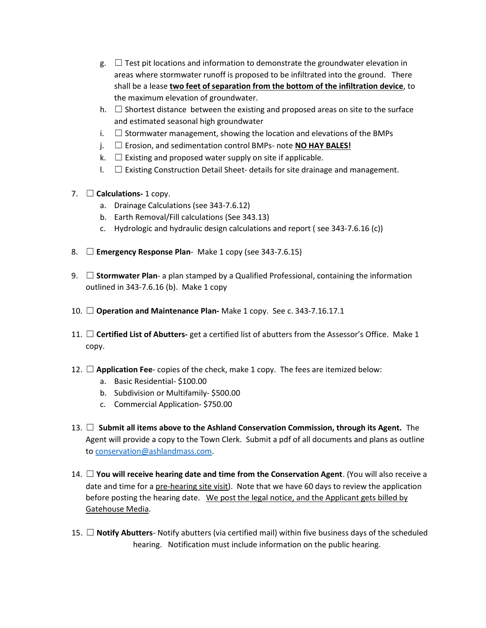- $g. \Box$  Test pit locations and information to demonstrate the groundwater elevation in areas where stormwater runoff is proposed to be infiltrated into the ground. There shall be a lease two feet of separation from the bottom of the infiltration device, to the maximum elevation of groundwater.
- h.  $\Box$  Shortest distance between the existing and proposed areas on site to the surface and estimated seasonal high groundwater
- i.  $\Box$  Stormwater management, showing the location and elevations of the BMPs
- $j.$   $\Box$  Erosion, and sedimentation control BMPs- note **NO HAY BALES!**
- k.  $\Box$  Existing and proposed water supply on site if applicable.
- $I. \square$  Existing Construction Detail Sheet- details for site drainage and management.
- 7.  $\Box$  Calculations- 1 copy.
	- a. Drainage Calculations (see 343-7.6.12)
	- b. Earth Removal/Fill calculations (See 343.13)
	- c. Hydrologic and hydraulic design calculations and report ( see 343-7.6.16 (c))
- 8.  $\Box$  **Emergency Response Plan** Make 1 copy (see 343-7.6.15)
- 9.  $\Box$  Stormwater Plan- a plan stamped by a Qualified Professional, containing the information outlined in 343-7.6.16 (b). Make 1 copy
- 10.  $\Box$  Operation and Maintenance Plan-Make 1 copy. See c. 343-7.16.17.1
- 11.  $\Box$  Certified List of Abutters- get a certified list of abutters from the Assessor's Office. Make 1 copy.
- 12.  $\Box$  Application Fee- copies of the check, make 1 copy. The fees are itemized below:
	- a. Basic Residential- \$100.00
	- b. Subdivision or Multifamily- \$500.00
	- c. Commercial Application- \$750.00
- 13. □ Submit all items above to the Ashland Conservation Commission, through its Agent. The Agent will provide a copy to the Town Clerk. Submit a pdf of all documents and plans as outline to conservation@ashlandmass.com.
- 14.  $\Box$  You will receive hearing date and time from the Conservation Agent. (You will also receive a date and time for a pre-hearing site visit). Note that we have 60 days to review the application before posting the hearing date. We post the legal notice, and the Applicant gets billed by Gatehouse Media.
- 15.  $\Box$  Notify Abutters- Notify abutters (via certified mail) within five business days of the scheduled hearing. Notification must include information on the public hearing.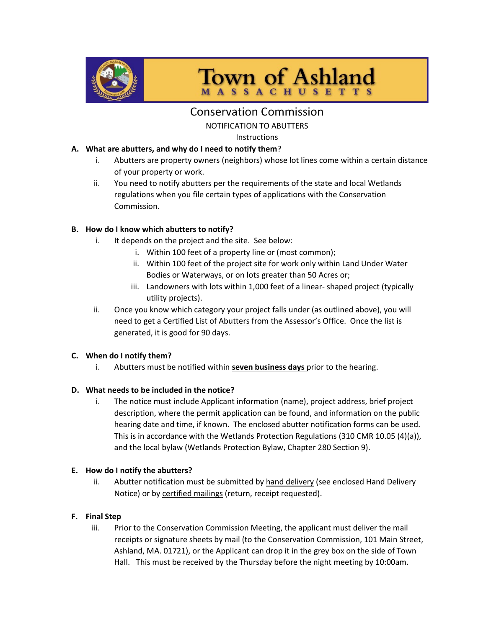

**Town of Ashland MASSACHUSETTS** 

### Conservation Commission

NOTIFICATION TO ABUTTERS

Instructions

#### A. What are abutters, and why do I need to notify them?

- i. Abutters are property owners (neighbors) whose lot lines come within a certain distance of your property or work.
- ii. You need to notify abutters per the requirements of the state and local Wetlands regulations when you file certain types of applications with the Conservation Commission.

#### B. How do I know which abutters to notify?

- i. It depends on the project and the site. See below:
	- i. Within 100 feet of a property line or (most common);
	- ii. Within 100 feet of the project site for work only within Land Under Water Bodies or Waterways, or on lots greater than 50 Acres or;
	- iii. Landowners with lots within 1,000 feet of a linear- shaped project (typically utility projects).
- ii. Once you know which category your project falls under (as outlined above), you will need to get a Certified List of Abutters from the Assessor's Office. Once the list is generated, it is good for 90 days.

#### C. When do I notify them?

i. Abutters must be notified within seven business days prior to the hearing.

#### D. What needs to be included in the notice?

i. The notice must include Applicant information (name), project address, brief project description, where the permit application can be found, and information on the public hearing date and time, if known. The enclosed abutter notification forms can be used. This is in accordance with the Wetlands Protection Regulations (310 CMR 10.05 (4)(a)), and the local bylaw (Wetlands Protection Bylaw, Chapter 280 Section 9).

#### E. How do I notify the abutters?

ii. Abutter notification must be submitted by hand delivery (see enclosed Hand Delivery Notice) or by certified mailings (return, receipt requested).

#### F. Final Step

iii. Prior to the Conservation Commission Meeting, the applicant must deliver the mail receipts or signature sheets by mail (to the Conservation Commission, 101 Main Street, Ashland, MA. 01721), or the Applicant can drop it in the grey box on the side of Town Hall. This must be received by the Thursday before the night meeting by 10:00am.